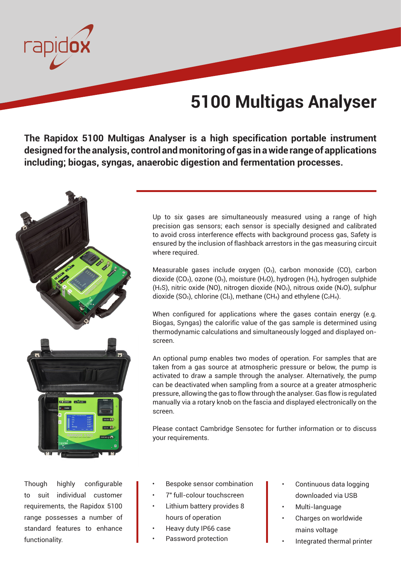## **5100 Multigas Analyser**

**The Rapidox 5100 Multigas Analyser is a high specification portable instrument designed for the analysis, control and monitoring of gas in a wide range of applications including; biogas, syngas, anaerobic digestion and fermentation processes.** 



Up to six gases are simultaneously measured using a range of high precision gas sensors; each sensor is specially designed and calibrated to avoid cross interference effects with background process gas, Safety is ensured by the inclusion of flashback arrestors in the gas measuring circuit where required.

Measurable gases include oxygen  $(O_2)$ , carbon monoxide  $(CO)$ , carbon dioxide (CO<sub>2</sub>), ozone (O<sub>3</sub>), moisture (H<sub>2</sub>O), hydrogen (H<sub>2</sub>), hydrogen sulphide (H2S), nitric oxide (NO), nitrogen dioxide (NO2), nitrous oxide (N2O), sulphur dioxide (SO<sub>2</sub>), chlorine (Cl<sub>2</sub>), methane (CH<sub>4</sub>) and ethylene (C<sub>2</sub>H<sub>4</sub>).

When configured for applications where the gases contain energy (e.g. Biogas, Syngas) the calorific value of the gas sample is determined using thermodynamic calculations and simultaneously logged and displayed onscreen.

An optional pump enables two modes of operation. For samples that are taken from a gas source at atmospheric pressure or below, the pump is activated to draw a sample through the analyser. Alternatively, the pump can be deactivated when sampling from a source at a greater atmospheric pressure, allowing the gas to flow through the analyser. Gas flow is regulated manually via a rotary knob on the fascia and displayed electronically on the screen.

Please contact Cambridge Sensotec for further information or to discuss your requirements.

Though highly configurable to suit individual customer requirements, the Rapidox 5100 range possesses a number of standard features to enhance functionality.

- Bespoke sensor combination
- 7" full-colour touchscreen
- Lithium battery provides 8 hours of operation
- Heavy duty IP66 case
- Password protection
- Continuous data logging downloaded via USB
- Multi-language
- Charges on worldwide mains voltage
- Integrated thermal printer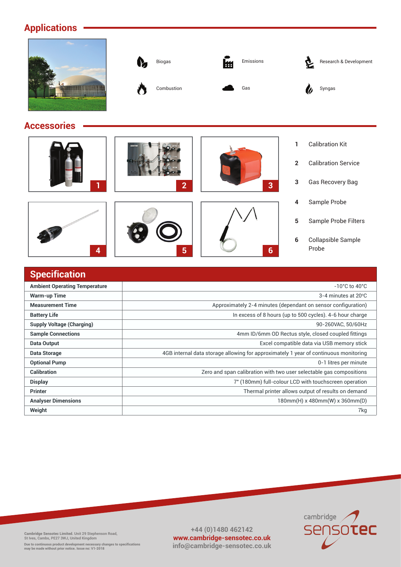## **Applications**

|                    | Biogas<br>V,<br>Combustion | Emissions<br>₩<br>Gas | Research & Development<br>ષ્ટ<br>Syngas      |
|--------------------|----------------------------|-----------------------|----------------------------------------------|
| <b>Accessories</b> |                            |                       |                                              |
|                    |                            |                       | <b>Calibration Kit</b>                       |
|                    |                            |                       | <b>Calibration Service</b><br>$\overline{2}$ |
| п                  | $\overline{2}$             | $\overline{3}$        | Gas Recovery Bag<br>3                        |

## **Specification Ambient Operating Temperature** -10°C to 40°C **Warm-up Time** 3-4 minutes at 20<sup>o</sup> C **Measurement Time Approximately 2-4 minutes (dependant on sensor configuration)** Approximately 2-4 minutes (dependant on sensor configuration) **Battery Life In excess of 8 hours (up to 500 cycles).** 4-6 hour charge **Supply Voltage (Charging)** 90-260VAC, 50/60Hz **Sample Connections Sample Connections Amm ID/6mm OD Rectus style, closed coupled fittings Data Output Excel compatible data via USB memory stick Data Output Excel compatible data via USB memory stick Data Storage 1988 4GB** internal data storage allowing for approximately 1 year of continuous monitoring **Optional Pump** 0-1 litres per minute **Calibration Calibration Calibration Zero and span calibration with two user selectable gas compositions Display** 7" (180mm) full-colour LCD with touchscreen operation Collapsible Sample Probe **6 4 5 6**

**Printer** Thermal printer allows output of results on demand **Analyser Dimensions** 180mm(H) x 480mm(W) x 360mm(D) **Weight** 7kg



Sample Probe

**4**

**5**

Sample Probe Filters

**+44 (0)1480 462142 www.cambridge-sensotec.co.uk info@cambridge-sensotec.co.uk**